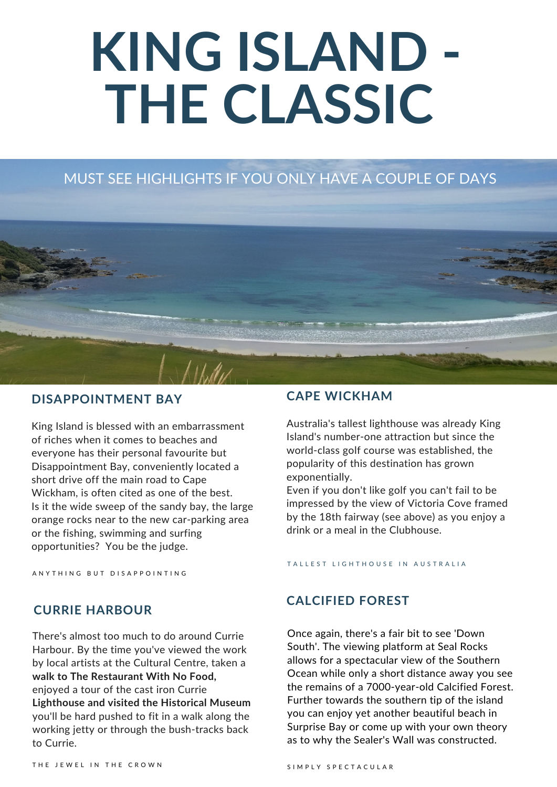# **KING ISLAND - THE CLASSIC**

#### MUST SEE HIGHLIGHTS IF YOU ONLY HAVE A COUPLE OF DAYS



### **DISAPPOINTMENT BAY CAPE WICKHAM**

King Island is blessed with an embarrassment of riches when it comes to beaches and everyone has their personal favourite but Disappointment Bay, conveniently located a short drive off the main road to Cape Wickham, is often cited as one of the best. Is it the wide sweep of the sandy bay, the large orange rocks near to the new car-parking area or the fishing, swimming and surfing opportunities? You be the judge.

A N Y T H I N G B U T D I S A P P O I N T I N G

Australia's tallest lighthouse was already King Island's number-one attraction but since the world-class golf course was established, the popularity of this destination has grown exponentially.

Even if you don't like golf you can't fail to be impressed by the view of Victoria Cove framed by the 18th fairway (see above) as you enjoy a drink or a meal in the Clubhouse.

#### TALLEST LIGHTHOUSE IN AUSTRALIA

#### **CALCIFIED FOREST**

Once again, there's a fair bit to see 'Down South'. The viewing platform at Seal Rocks allows for a spectacular view of the Southern Ocean while only a short distance away you see the remains of a 7000-year-old Calcified Forest. Further towards the southern tip of the island you can enjoy yet another beautiful beach in Surprise Bay or come up with your own theory as to why the Sealer's Wall was constructed.

#### **CURRIE HARBOUR**

There's almost too much to do around Currie Harbour. By the time you've viewed the work by local artists at the Cultural Centre, taken a **walk to The Restaurant With No Food,** enjoyed a tour of the cast iron Currie **Lighthouse and visited the Historical Museum** you'll be hard pushed to fit in a walk along the working jetty or through the bush-tracks back to Currie.